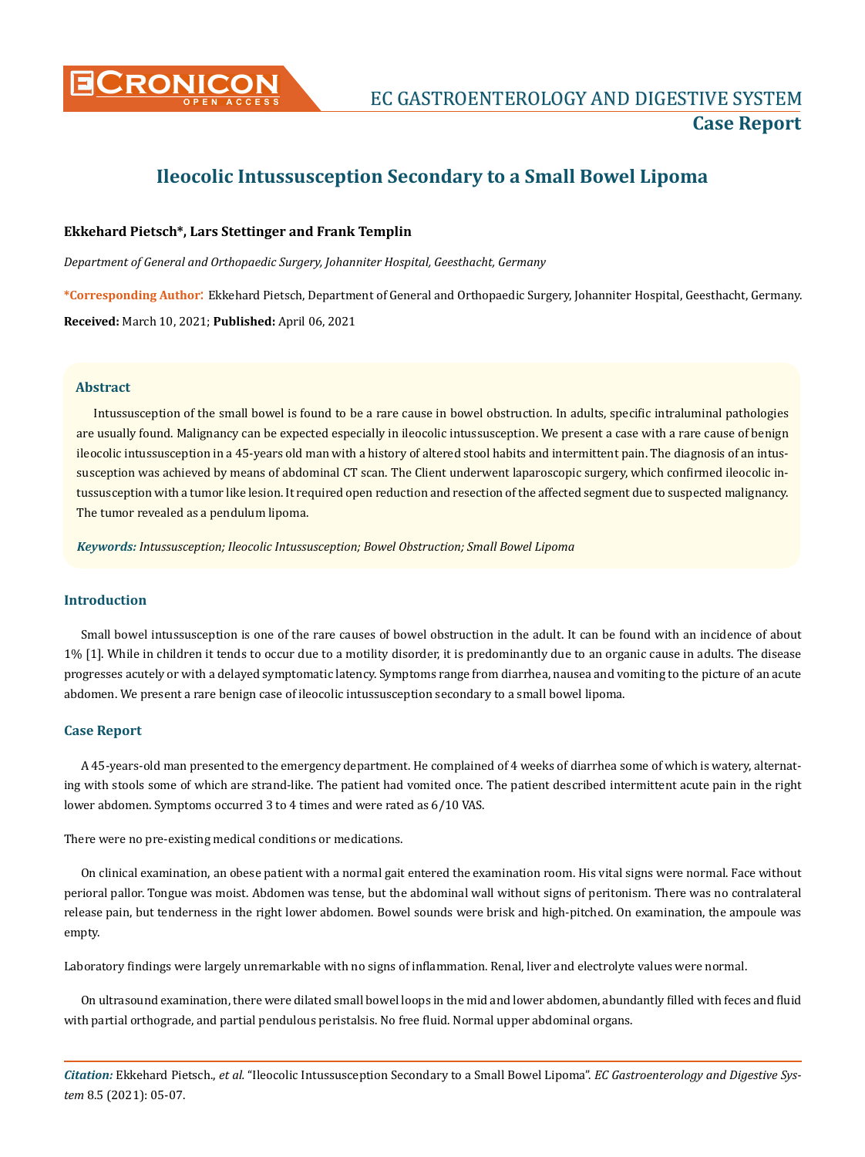

# **Ileocolic Intussusception Secondary to a Small Bowel Lipoma**

## **Ekkehard Pietsch\*, Lars Stettinger and Frank Templin**

*Department of General and Orthopaedic Surgery, Johanniter Hospital, Geesthacht, Germany*

**\*Corresponding Author**: Ekkehard Pietsch, Department of General and Orthopaedic Surgery, Johanniter Hospital, Geesthacht, Germany. **Received:** March 10, 2021; **Published:** April 06, 2021

## **Abstract**

Intussusception of the small bowel is found to be a rare cause in bowel obstruction. In adults, specific intraluminal pathologies are usually found. Malignancy can be expected especially in ileocolic intussusception. We present a case with a rare cause of benign ileocolic intussusception in a 45-years old man with a history of altered stool habits and intermittent pain. The diagnosis of an intussusception was achieved by means of abdominal CT scan. The Client underwent laparoscopic surgery, which confirmed ileocolic intussusception with a tumor like lesion. It required open reduction and resection of the affected segment due to suspected malignancy. The tumor revealed as a pendulum lipoma.

*Keywords: Intussusception; Ileocolic Intussusception; Bowel Obstruction; Small Bowel Lipoma*

# **Introduction**

Small bowel intussusception is one of the rare causes of bowel obstruction in the adult. It can be found with an incidence of about 1% [1]. While in children it tends to occur due to a motility disorder, it is predominantly due to an organic cause in adults. The disease progresses acutely or with a delayed symptomatic latency. Symptoms range from diarrhea, nausea and vomiting to the picture of an acute abdomen. We present a rare benign case of ileocolic intussusception secondary to a small bowel lipoma.

#### **Case Report**

A 45-years-old man presented to the emergency department. He complained of 4 weeks of diarrhea some of which is watery, alternating with stools some of which are strand-like. The patient had vomited once. The patient described intermittent acute pain in the right lower abdomen. Symptoms occurred 3 to 4 times and were rated as 6/10 VAS.

There were no pre-existing medical conditions or medications.

On clinical examination, an obese patient with a normal gait entered the examination room. His vital signs were normal. Face without perioral pallor. Tongue was moist. Abdomen was tense, but the abdominal wall without signs of peritonism. There was no contralateral release pain, but tenderness in the right lower abdomen. Bowel sounds were brisk and high-pitched. On examination, the ampoule was empty.

Laboratory findings were largely unremarkable with no signs of inflammation. Renal, liver and electrolyte values were normal.

On ultrasound examination, there were dilated small bowel loops in the mid and lower abdomen, abundantly filled with feces and fluid with partial orthograde, and partial pendulous peristalsis. No free fluid. Normal upper abdominal organs.

*Citation:* Ekkehard Pietsch., *et al.* "Ileocolic Intussusception Secondary to a Small Bowel Lipoma". *EC Gastroenterology and Digestive System* 8.5 (2021): 05-07.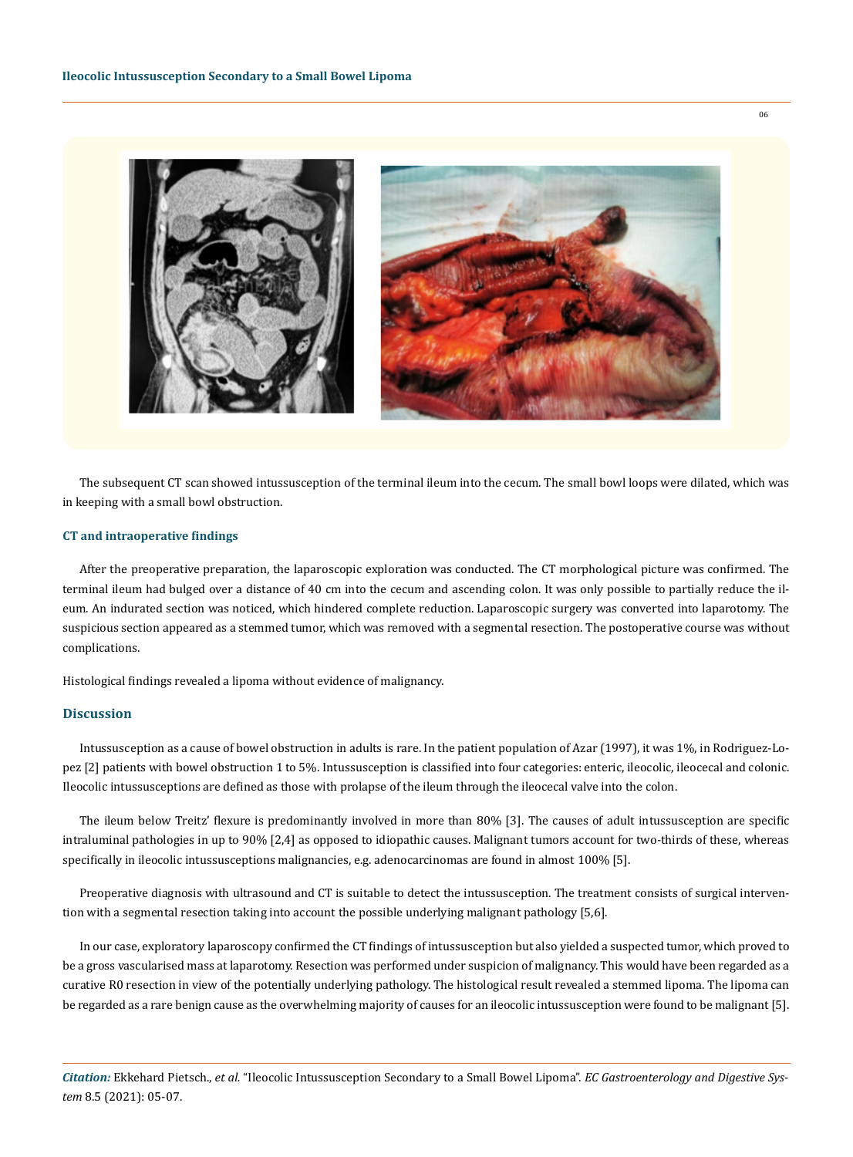

The subsequent CT scan showed intussusception of the terminal ileum into the cecum. The small bowl loops were dilated, which was in keeping with a small bowl obstruction.

#### **CT and intraoperative findings**

After the preoperative preparation, the laparoscopic exploration was conducted. The CT morphological picture was confirmed. The terminal ileum had bulged over a distance of 40 cm into the cecum and ascending colon. It was only possible to partially reduce the ileum. An indurated section was noticed, which hindered complete reduction. Laparoscopic surgery was converted into laparotomy. The suspicious section appeared as a stemmed tumor, which was removed with a segmental resection. The postoperative course was without complications.

Histological findings revealed a lipoma without evidence of malignancy.

### **Discussion**

Intussusception as a cause of bowel obstruction in adults is rare. In the patient population of Azar (1997), it was 1%, in Rodriguez-Lopez [2] patients with bowel obstruction 1 to 5%. Intussusception is classified into four categories: enteric, ileocolic, ileocecal and colonic. Ileocolic intussusceptions are defined as those with prolapse of the ileum through the ileocecal valve into the colon.

The ileum below Treitz' flexure is predominantly involved in more than 80% [3]. The causes of adult intussusception are specific intraluminal pathologies in up to 90% [2,4] as opposed to idiopathic causes. Malignant tumors account for two-thirds of these, whereas specifically in ileocolic intussusceptions malignancies, e.g. adenocarcinomas are found in almost 100% [5].

Preoperative diagnosis with ultrasound and CT is suitable to detect the intussusception. The treatment consists of surgical intervention with a segmental resection taking into account the possible underlying malignant pathology [5,6].

In our case, exploratory laparoscopy confirmed the CT findings of intussusception but also yielded a suspected tumor, which proved to be a gross vascularised mass at laparotomy. Resection was performed under suspicion of malignancy. This would have been regarded as a curative R0 resection in view of the potentially underlying pathology. The histological result revealed a stemmed lipoma. The lipoma can be regarded as a rare benign cause as the overwhelming majority of causes for an ileocolic intussusception were found to be malignant [5].

*Citation:* Ekkehard Pietsch., *et al.* "Ileocolic Intussusception Secondary to a Small Bowel Lipoma". *EC Gastroenterology and Digestive System* 8.5 (2021): 05-07.

06